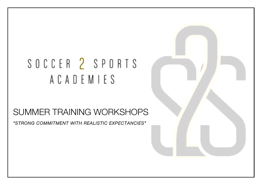# SOCCER 2 SPORTS ACADEMIES

## SUMMER TRAINING WORKSHOPS

*"STRONG COMMITMENT WITH REALISTIC EXPECTANCIES"* 

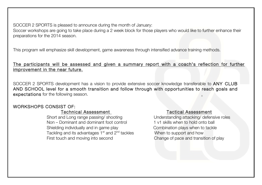SOCCER 2 SPORTS is pleased to announce during the month of January:

Soccer workshops are going to take place during a 2 week block for those players who would like to further enhance their preparations for the 2014 season.

This program will emphasize skill development, game awareness through intensified advance training methods.

#### The participants will be assessed and given a summary report with a coach's reflection for further improvement in the near future.

SOCCER 2 SPORTS development has a vision to provide extensive soccer knowledge transferable to ANY CLUB AND SCHOOL level for a smooth transition and follow through with opportunities to reach goals and expectations for the following season.

### WORKSHOPS CONSIST OF:

#### Technical Assessment Tactical Assessment

Short and Long range passing/ shooting Understanding attacking/ defensive roles Non – Dominant and dominant foot control 1 v1 skills when to hold onto ball Shielding individually and in game play Theorem Combination plays when to tackle Tackling and its advantages  $1<sup>st</sup>$  and  $2<sup>nd</sup>$  tackles When to support and how First touch and moving into second Change of pace and transition of play